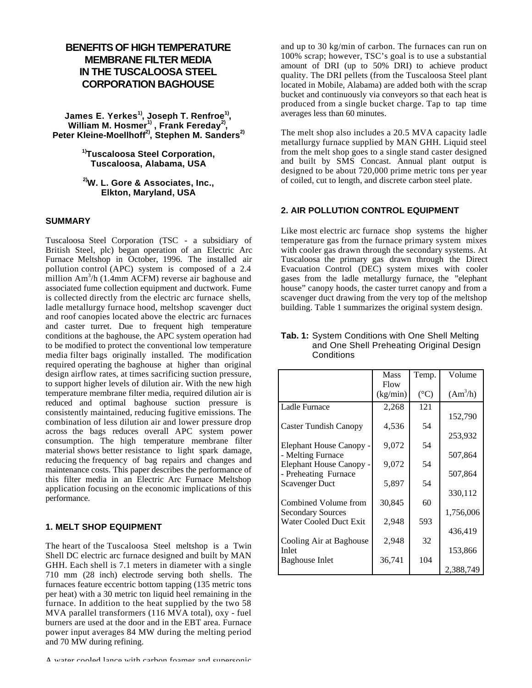# **BENEFITS OF HIGH TEMPERATURE MEMBRANE FILTER MEDIA IN THE TUSCALOOSA STEEL CORPORATION BAGHOUSE**

**James E. Yerkes1), Joseph T. Renfroe1) , William M. Hosmer1) , Frank Fereday2) , Peter Kleine-Moellhoff2), Stephen M. Sanders2)**

> **1)Tuscaloosa Steel Corporation, Tuscaloosa, Alabama, USA**

> **2)W. L. Gore & Associates, Inc., Elkton, Maryland, USA**

#### **SUMMARY**

Tuscaloosa Steel Corporation (TSC - a subsidiary of British Steel, plc) began operation of an Electric Arc Furnace Meltshop in October, 1996. The installed air pollution control (APC) system is composed of a 2.4 million Am<sup>3</sup>/h (1.4mm ACFM) reverse air baghouse and associated fume collection equipment and ductwork. Fume is collected directly from the electric arc furnace shells, ladle metallurgy furnace hood, meltshop scavenger duct and roof canopies located above the electric arc furnaces and caster turret. Due to frequent high temperature conditions at the baghouse, the APC system operation had to be modified to protect the conventional low temperature media filter bags originally installed. The modification required operating the baghouse at higher than original design airflow rates, at times sacrificing suction pressure, to support higher levels of dilution air. With the new high temperature membrane filter media, required dilution air is reduced and optimal baghouse suction pressure is consistently maintained, reducing fugitive emissions. The combination of less dilution air and lower pressure drop across the bags reduces overall APC system power consumption. The high temperature membrane filter material shows better resistance to light spark damage, reducing the frequency of bag repairs and changes and maintenance costs. This paper describes the performance of this filter media in an Electric Arc Furnace Meltshop application focusing on the economic implications of this performance.

#### **1. MELT SHOP EQUIPMENT**

The heart of the Tuscaloosa Steel meltshop is a Twin Shell DC electric arc furnace designed and built by MAN GHH. Each shell is 7.1 meters in diameter with a single 710 mm (28 inch) electrode serving both shells. The furnaces feature eccentric bottom tapping (135 metric tons per heat) with a 30 metric ton liquid heel remaining in the furnace. In addition to the heat supplied by the two 58 MVA parallel transformers (116 MVA total), oxy - fuel burners are used at the door and in the EBT area. Furnace power input averages 84 MW during the melting period and 70 MW during refining.

A water cooled lance with carbon foamer and supersonic

and up to 30 kg/min of carbon. The furnaces can run on 100% scrap; however, TSC's goal is to use a substantial amount of DRI (up to 50% DRI) to achieve product quality. The DRI pellets (from the Tuscaloosa Steel plant located in Mobile, Alabama) are added both with the scrap bucket and continuously via conveyors so that each heat is produced from a single bucket charge. Tap to tap time averages less than 60 minutes.

The melt shop also includes a 20.5 MVA capacity ladle metallurgy furnace supplied by MAN GHH. Liquid steel from the melt shop goes to a single stand caster designed and built by SMS Concast. Annual plant output is designed to be about 720,000 prime metric tons per year of coiled, cut to length, and discrete carbon steel plate.

# **2. AIR POLLUTION CONTROL EQUIPMENT**

Like most electric arc furnace shop systems the higher temperature gas from the furnace primary system mixes with cooler gas drawn through the secondary systems. At Tuscaloosa the primary gas drawn through the Direct Evacuation Control (DEC) system mixes with cooler gases from the ladle metallurgy furnace, the "elephant house" canopy hoods, the caster turret canopy and from a scavenger duct drawing from the very top of the meltshop building. Table 1 summarizes the original system design.

|                          | <b>Mass</b> | Temp.           | Volume     |
|--------------------------|-------------|-----------------|------------|
|                          | Flow        |                 |            |
|                          | (kg/min)    | $({}^{\circ}C)$ | $(Am^3/h)$ |
| Ladle Furnace            | 2,268       | 121             |            |
|                          |             |                 | 152,790    |
| Caster Tundish Canopy    | 4,536       | 54              |            |
|                          |             |                 | 253,932    |
| Elephant House Canopy -  | 9,072       | 54              |            |
| - Melting Furnace        |             |                 | 507,864    |
| Elephant House Canopy -  | 9,072       | 54              |            |
| - Preheating Furnace     |             |                 | 507,864    |
| <b>Scavenger Duct</b>    | 5,897       | 54              |            |
|                          |             |                 | 330,112    |
| Combined Volume from     | 30,845      | 60              |            |
| <b>Secondary Sources</b> |             |                 | 1,756,006  |
| Water Cooled Duct Exit   | 2,948       | 593             |            |
|                          |             |                 | 436,419    |
| Cooling Air at Baghouse  | 2,948       | 32              |            |
| Inlet                    |             | 104             | 153,866    |
| Baghouse Inlet           | 36,741      |                 | 2,388,749  |
|                          |             |                 |            |

#### **Tab. 1:** System Conditions with One Shell Melting and One Shell Preheating Original Design **Conditions**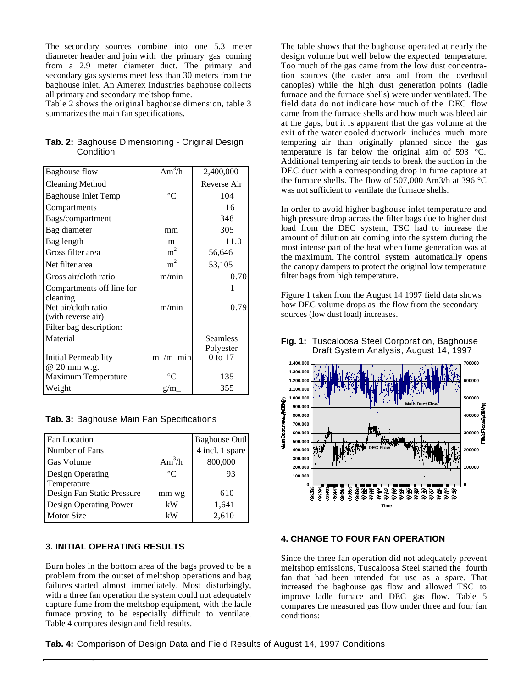The secondary sources combine into one 5.3 meter diameter header and join with the primary gas coming from a 2.9 meter diameter duct. The primary and secondary gas systems meet less than 30 meters from the baghouse inlet. An Amerex Industries baghouse collects all primary and secondary meltshop fume.

Table 2 shows the original baghouse dimension, table 3 summarizes the main fan specifications.

| <b>Baghouse flow</b>       | $\overline{Am^3/h}$ | 2,400,000       |
|----------------------------|---------------------|-----------------|
| <b>Cleaning Method</b>     |                     | Reverse Air     |
| <b>Baghouse Inlet Temp</b> | $^{\circ}C$         | 104             |
| Compartments               |                     | 16              |
| Bags/compartment           |                     | 348             |
| Bag diameter               | mm                  | 305             |
| Bag length                 | m                   | 11.0            |
| Gross filter area          | m <sup>2</sup>      | 56,646          |
| Net filter area            | m <sup>2</sup>      | 53,105          |
| Gross air/cloth ratio      | m/min               | 0.70            |
| Compartments off line for  |                     |                 |
| cleaning                   |                     |                 |
| Net air/cloth ratio        | m/min               | 0.79            |
| (with reverse air)         |                     |                 |
| Filter bag description:    |                     |                 |
| Material                   |                     | <b>Seamless</b> |
|                            |                     | Polyester       |
| Initial Permeability       | $m/m$ min           | 0 to 17         |
| @ 20 mm w.g.               |                     |                 |
| <b>Maximum Temperature</b> | ∘∩                  | 135             |
| Weight                     | g/m                 | 355             |

|           | Tab. 2: Baghouse Dimensioning - Original Design |  |
|-----------|-------------------------------------------------|--|
| Condition |                                                 |  |

|  |  |  |  | Tab. 3: Baghouse Main Fan Specifications |
|--|--|--|--|------------------------------------------|
|--|--|--|--|------------------------------------------|

| <b>Fan Location</b>        |             | <b>Baghouse Outl</b> |
|----------------------------|-------------|----------------------|
| Number of Fans             |             | 4 incl. 1 spare      |
| <b>Gas Volume</b>          | $Am^3/h$    | 800,000              |
| Design Operating           | $^{\circ}C$ | 93                   |
| Temperature                |             |                      |
| Design Fan Static Pressure | mm wg       | 610                  |
| Design Operating Power     | kW          | 1,641                |
| <b>Motor Size</b>          | kW          | 2,610                |

# **3. INITIAL OPERATING RESULTS**

Burn holes in the bottom area of the bags proved to be a problem from the outset of meltshop operations and bag failures started almost immediately. Most disturbingly, with a three fan operation the system could not adequately capture fume from the meltshop equipment, with the ladle furnace proving to be especially difficult to ventilate. Table 4 compares design and field results.

The table shows that the baghouse operated at nearly the design volume but well below the expected temperature. Too much of the gas came from the low dust concentration sources (the caster area and from the overhead canopies) while the high dust generation points (ladle furnace and the furnace shells) were under ventilated. The field data do not indicate how much of the DEC flow came from the furnace shells and how much was bleed air at the gaps, but it is apparent that the gas volume at the exit of the water cooled ductwork includes much more tempering air than originally planned since the gas temperature is far below the original aim of 593 °C. Additional tempering air tends to break the suction in the DEC duct with a corresponding drop in fume capture at the furnace shells. The flow of 507,000 Am3/h at 396 °C was not sufficient to ventilate the furnace shells.

In order to avoid higher baghouse inlet temperature and high pressure drop across the filter bags due to higher dust load from the DEC system, TSC had to increase the amount of dilution air coming into the system during the most intense part of the heat when fume generation was at the maximum. The control system automatically opens the canopy dampers to protect the original low temperature filter bags from high temperature.

Figure 1 taken from the August 14 1997 field data shows how DEC volume drops as the flow from the secondary sources (low dust load) increases.



#### **Fig. 1:** Tuscaloosa Steel Corporation, Baghouse Draft System Analysis, August 14, 1997

#### **4. CHANGE TO FOUR FAN OPERATION**

Since the three fan operation did not adequately prevent meltshop emissions, Tuscaloosa Steel started the fourth fan that had been intended for use as a spare. That increased the baghouse gas flow and allowed TSC to improve ladle furnace and DEC gas flow. Table 5 compares the measured gas flow under three and four fan conditions:

**Tab. 4:** Comparison of Design Data and Field Results of August 14, 1997 Conditions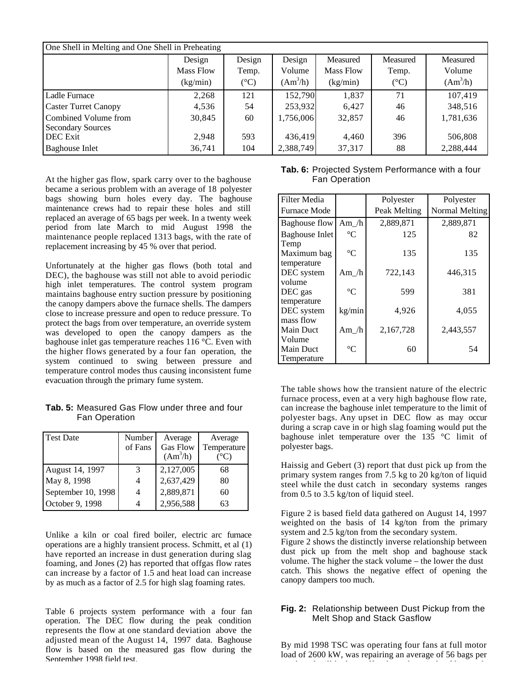| One Shell in Melting and One Shell in Preheating |           |                 |            |           |               |            |
|--------------------------------------------------|-----------|-----------------|------------|-----------|---------------|------------|
|                                                  | Design    | Design          | Design     | Measured  | Measured      | Measured   |
|                                                  | Mass Flow | Temp.           | Volume     | Mass Flow | Temp.         | Volume     |
|                                                  | (kg/min)  | $({}^{\circ}C)$ | $(Am^3/h)$ | (kg/min)  | $(^{\circ}C)$ | $(Am^3/h)$ |
| Ladle Furnace                                    | 2,268     | 121             | 152,790    | 1,837     | 71            | 107,419    |
| <b>Caster Turret Canopy</b>                      | 4,536     | 54              | 253,932    | 6,427     | 46            | 348,516    |
| Combined Volume from<br><b>Secondary Sources</b> | 30,845    | 60              | 1,756,006  | 32,857    | 46            | 1,781,636  |
| <b>DEC</b> Exit                                  | 2,948     | 593             | 436,419    | 4,460     | 396           | 506,808    |
| <b>Baghouse Inlet</b>                            | 36,741    | 104             | 2,388,749  | 37,317    | 88            | 2,288,444  |

At the higher gas flow, spark carry over to the baghouse became a serious problem with an average of 18 polyester bags showing burn holes every day. The baghouse maintenance crews had to repair these holes and still replaced an average of 65 bags per week. In a twenty week period from late March to mid August 1998 the maintenance people replaced 1313 bags, with the rate of replacement increasing by 45 % over that period.

Unfortunately at the higher gas flows (both total and DEC), the baghouse was still not able to avoid periodic high inlet temperatures. The control system program maintains baghouse entry suction pressure by positioning the canopy dampers above the furnace shells. The dampers close to increase pressure and open to reduce pressure. To protect the bags from over temperature, an override system was developed to open the canopy dampers as the baghouse inlet gas temperature reaches 116 °C. Even with the higher flows generated by a four fan operation, the system continued to swing between pressure and temperature control modes thus causing inconsistent fume evacuation through the primary fume system.

**Tab. 5:** Measured Gas Flow under three and four Fan Operation

| <b>Test Date</b>   | Number<br>of Fans | Average<br><b>Gas Flow</b><br>$(Am^3/h)$ | Average<br>Temperature<br>(°C) |
|--------------------|-------------------|------------------------------------------|--------------------------------|
| August 14, 1997    | 3                 | 2,127,005                                | 68                             |
| May 8, 1998        | 4                 | 2,637,429                                | 80                             |
| September 10, 1998 | 4                 | 2,889,871                                | 60                             |
| October 9, 1998    |                   | 2,956,588                                | 63                             |

Unlike a kiln or coal fired boiler, electric arc furnace operations are a highly transient process. Schmitt, et al (1) have reported an increase in dust generation during slag foaming, and Jones (2) has reported that offgas flow rates can increase by a factor of 1.5 and heat load can increase by as much as a factor of 2.5 for high slag foaming rates.

Table 6 projects system performance with a four fan operation. The DEC flow during the peak condition represents the flow at one standard deviation above the adjusted mean of the August 14, 1997 data. Baghouse flow is based on the measured gas flow during the September 1998 field test.

**Tab. 6:** Projected System Performance with a four Fan Operation

| <b>Filter Media</b>                       |                 | Polyester    | Polyester      |
|-------------------------------------------|-----------------|--------------|----------------|
| <b>Furnace Mode</b>                       |                 | Peak Melting | Normal Melting |
| Baghouse flow                             | Am $/h$         | 2,889,871    | 2,889,871      |
| <b>Baghouse Inlet</b><br>Temp             | $^{\circ}C$     | 125          | 82             |
| Maximum bag<br>temperature                | $\rm ^{\circ}C$ | 135          | 135            |
| DEC system                                | Am $/h$         | 722,143      | 446,315        |
| volume<br>DEC gas                         | $^{\circ}C$     | 599          | 381            |
| temperature<br>DEC system<br>mass flow    | kg/min          | 4,926        | 4,055          |
| Main Duct                                 | Am $/h$         | 2,167,728    | 2,443,557      |
| Volume<br><b>Main Duct</b><br>Temperature | $\rm ^{\circ}C$ | 60           | 54             |

The table shows how the transient nature of the electric furnace process, even at a very high baghouse flow rate, can increase the baghouse inlet temperature to the limit of polyester bags. Any upset in DEC flow as may occur during a scrap cave in or high slag foaming would put the baghouse inlet temperature over the 135 °C limit of polyester bags.

Haissig and Gebert (3) report that dust pick up from the primary system ranges from 7.5 kg to 20 kg/ton of liquid steel while the dust catch in secondary systems ranges from 0.5 to 3.5 kg/ton of liquid steel.

Figure 2 is based field data gathered on August 14, 1997 weighted on the basis of 14 kg/ton from the primary system and 2.5 kg/ton from the secondary system.

Figure 2 shows the distinctly inverse relationship between dust pick up from the melt shop and baghouse stack volume. The higher the stack volume – the lower the dust catch. This shows the negative effect of opening the canopy dampers too much.

## **Fig. 2:** Relationship between Dust Pickup from the Melt Shop and Stack Gasflow

By mid 1998 TSC was operating four fans at full motor load of 2600 kW, was repairing an average of 56 bags per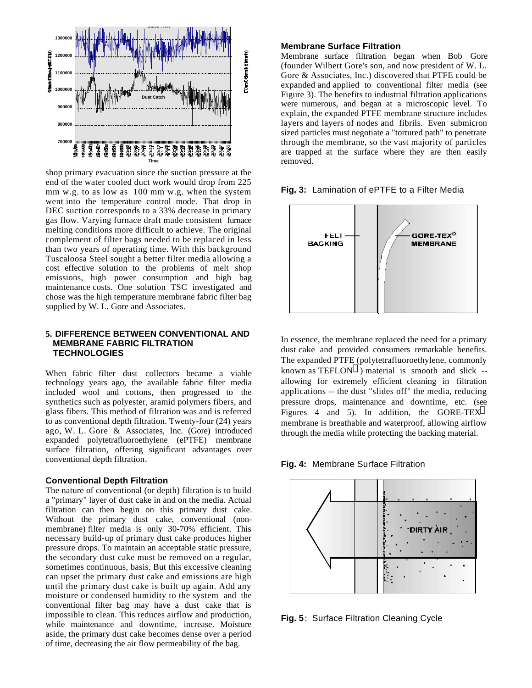

shop primary evacuation since the suction pressure at the end of the water cooled duct work would drop from 225 mm w.g. to as low as 100 mm w.g. when the system went into the temperature control mode. That drop in DEC suction corresponds to a 33% decrease in primary gas flow. Varying furnace draft made consistent furnace melting conditions more difficult to achieve. The original complement of filter bags needed to be replaced in less than two years of operating time. With this background Tuscaloosa Steel sought a better filter media allowing a cost effective solution to the problems of melt shop emissions, high power consumption and high bag maintenance costs. One solution TSC investigated and chose was the high temperature membrane fabric filter bag supplied by W. L. Gore and Associates.

## **5. DIFFERENCE BETWEEN CONVENTIONAL AND MEMBRANE FABRIC FILTRATION TECHNOLOGIES**

When fabric filter dust collectors became a viable technology years ago, the available fabric filter media included wool and cottons, then progressed to the synthetics such as polyester, aramid polymers fibers, and glass fibers. This method of filtration was and is referred to as conventional depth filtration. Twenty-four (24) years ago, W. L. Gore & Associates, Inc. (Gore) introduced expanded polytetrafluoroethylene (ePTFE) membrane surface filtration, offering significant advantages over conventional depth filtration.

#### **Conventional Depth Filtration**

The nature of conventional (or depth) filtration is to build a "primary" layer of dust cake in and on the media. Actual filtration can then begin on this primary dust cake. Without the primary dust cake, conventional (nonmembrane) filter media is only 30-70% efficient. This necessary build-up of primary dust cake produces higher pressure drops. To maintain an acceptable static pressure, the secondary dust cake must be removed on a regular, sometimes continuous, basis. But this excessive cleaning can upset the primary dust cake and emissions are high until the primary dust cake is built up again. Add any moisture or condensed humidity to the system and the conventional filter bag may have a dust cake that is impossible to clean. This reduces airflow and production, while maintenance and downtime, increase. Moisture aside, the primary dust cake becomes dense over a period of time, decreasing the air flow permeability of the bag.

#### **Membrane Surface Filtration**

Membrane surface filtration began when Bob Gore (founder Wilbert Gore's son, and now president of W. L. Gore & Associates, Inc.) discovered that PTFE could be expanded and applied to conventional filter media (see Figure 3). The benefits to industrial filtration applications were numerous, and began at a microscopic level. To explain, the expanded PTFE membrane structure includes layers and layers of nodes and fibrils. Even submicron sized particles must negotiate a "tortured path" to penetrate through the membrane, so the vast majority of particles are trapped at the surface where they are then easily removed.





In essence, the membrane replaced the need for a primary dust cake and provided consumers remarkable benefits. The expanded PTFE (polytetrafluoroethylene, commonly known as TEFLON ) material is smooth and slick - allowing for extremely efficient cleaning in filtration applications -- the dust "slides off" the media, reducing pressure drops, maintenance and downtime, etc. (see Figures 4 and 5). In addition, the GORE-TEX membrane is breathable and waterproof, allowing airflow through the media while protecting the backing material.

**Fig. 4:** Membrane Surface Filtration



**Fig. 5**: Surface Filtration Cleaning Cycle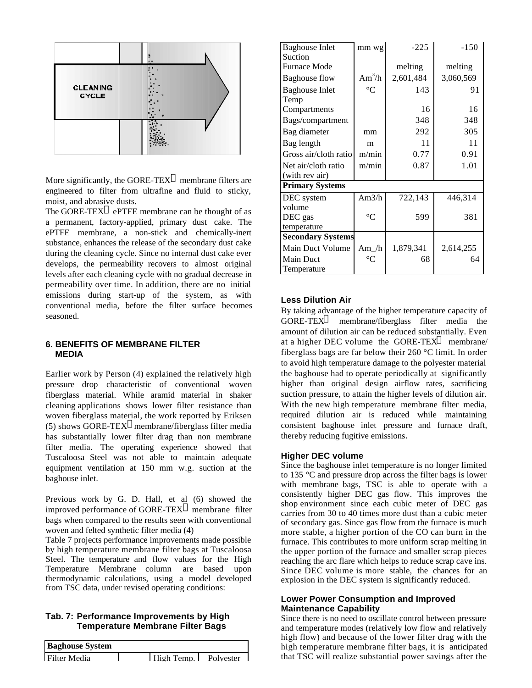

More significantly, the GORE-TEX membrane filters are engineered to filter from ultrafine and fluid to sticky, moist, and abrasive dusts.

The GORE-TEX ePTFE membrane can be thought of as a permanent, factory-applied, primary dust cake. The ePTFE membrane, a non-stick and chemically-inert substance, enhances the release of the secondary dust cake during the cleaning cycle. Since no internal dust cake ever develops, the permeability recovers to almost original levels after each cleaning cycle with no gradual decrease in permeability over time. In addition, there are no initial emissions during start-up of the system, as with conventional media, before the filter surface becomes seasoned.

#### **6. BENEFITS OF MEMBRANE FILTER MEDIA**

Earlier work by Person (4) explained the relatively high pressure drop characteristic of conventional woven fiberglass material. While aramid material in shaker cleaning applications shows lower filter resistance than woven fiberglass material, the work reported by Eriksen (5) shows GORE-TEX membrane/fiberglass filter media has substantially lower filter drag than non membrane filter media. The operating experience showed that Tuscaloosa Steel was not able to maintain adequate equipment ventilation at 150 mm w.g. suction at the baghouse inlet.

Previous work by G. D. Hall, et al (6) showed the improved performance of GORE-TEX membrane filter bags when compared to the results seen with conventional woven and felted synthetic filter media (4)

Table 7 projects performance improvements made possible by high temperature membrane filter bags at Tuscaloosa Steel. The temperature and flow values for the High Temperature Membrane column are based upon thermodynamic calculations, using a model developed from TSC data, under revised operating conditions:

## **Tab. 7: Performance Improvements by High Temperature Membrane Filter Bags**

**Baghouse System**



| <b>Baghouse Inlet</b><br>Suction | mm wg              | $-225$    | $-150$    |
|----------------------------------|--------------------|-----------|-----------|
| <b>Furnace Mode</b>              |                    | melting   | melting   |
| <b>Baghouse flow</b>             | Am <sup>3</sup> /h | 2,601,484 | 3,060,569 |
| <b>Baghouse Inlet</b><br>Temp    | $\rm ^{\circ}C$    | 143       | 91        |
| Compartments                     |                    | 16        | 16        |
| Bags/compartment                 |                    | 348       | 348       |
| Bag diameter                     | mm                 | 292       | 305       |
| Bag length                       | m                  | 11        | 11        |
| Gross air/cloth ratio            | m/min              | 0.77      | 0.91      |
| Net air/cloth ratio              | m/min              | 0.87      | 1.01      |
| (with rev air)                   |                    |           |           |
| <b>Primary Systems</b>           |                    |           |           |
| DEC system                       | Am $3/h$           | 722,143   | 446,314   |
| volume                           |                    |           |           |
| DEC gas                          | $\rm ^{\circ}C$    | 599       | 381       |
| temperature                      |                    |           |           |
| <b>Secondary Systems</b>         |                    |           |           |
| Main Duct Volume                 | Am $/h$            | 1,879,341 | 2,614,255 |
| <b>Main Duct</b>                 | $^{\circ}C$        | 68        | 64        |
| Temperature                      |                    |           |           |

# **Less Dilution Air**

By taking advantage of the higher temperature capacity of GORE-TEX membrane/fiberglass filter media the amount of dilution air can be reduced substantially. Even at a higher DEC volume the GORE-TEX membrane/ fiberglass bags are far below their 260 °C limit. In order to avoid high temperature damage to the polyester material the baghouse had to operate periodically at significantly higher than original design airflow rates, sacrificing suction pressure, to attain the higher levels of dilution air. With the new high temperature membrane filter media, required dilution air is reduced while maintaining consistent baghouse inlet pressure and furnace draft, thereby reducing fugitive emissions.

#### **Higher DEC volume**

Since the baghouse inlet temperature is no longer limited to 135 °C and pressure drop across the filter bags is lower with membrane bags, TSC is able to operate with a consistently higher DEC gas flow. This improves the shop environment since each cubic meter of DEC gas carries from 30 to 40 times more dust than a cubic meter of secondary gas. Since gas flow from the furnace is much more stable, a higher portion of the CO can burn in the furnace. This contributes to more uniform scrap melting in the upper portion of the furnace and smaller scrap pieces reaching the arc flare which helps to reduce scrap cave ins. Since DEC volume is more stable, the chances for an explosion in the DEC system is significantly reduced.

## **Lower Power Consumption and Improved Maintenance Capability**

Since there is no need to oscillate control between pressure and temperature modes (relatively low flow and relatively high flow) and because of the lower filter drag with the high temperature membrane filter bags, it is anticipated that TSC will realize substantial power savings after the